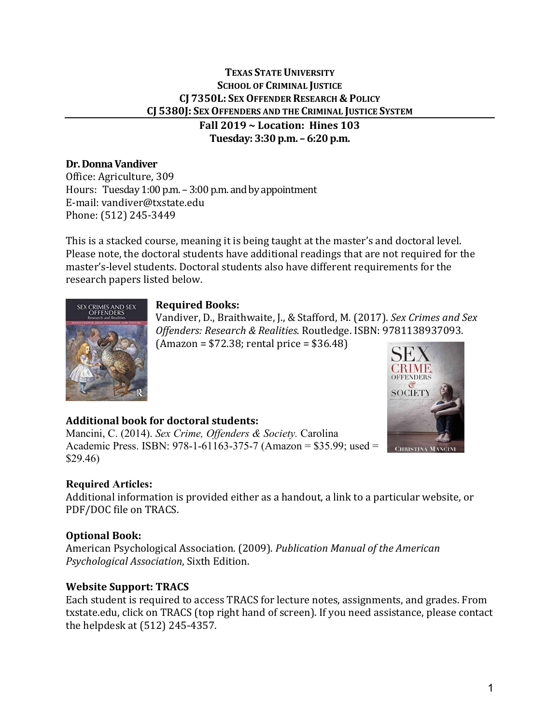# **TEXAS STATE UNIVERSITY SCHOOL OF CRIMINAL JUSTICE CJ 7350L: SEX OFFENDER RESEARCH & POLICY CJ 5380J: SEX OFFENDERS AND THE CRIMINAL JUSTICE SYSTEM**

**Fall 2019 ~ Location: Hines 103 Tuesday: 3:30 p.m. – 6:20 p.m.** 

# **Dr. Donna Vandiver**

Office: Agriculture, 309 Hours: Tuesday  $1:00$  p.m.  $-3:00$  p.m. and by appointment E-mail: vandiver@txstate.edu Phone: (512) 245-3449

This is a stacked course, meaning it is being taught at the master's and doctoral level. Please note, the doctoral students have additional readings that are not required for the master's-level students. Doctoral students also have different requirements for the research papers listed below.

# **Required Books:**

Vandiver, D., Braithwaite, J., & Stafford, M. (2017). *Sex Crimes and Sex Offenders: Research & Realities.* Routledge. ISBN: 9781138937093.  $(Amazon = $72.38; rental price = $36.48)$ 



# **Additional book for doctoral students:**

Mancini, C. (2014). *Sex Crime, Offenders & Society.* Carolina Academic Press. ISBN: 978-1-61163-375-7 (Amazon = \$35.99; used = \$29.46)

# **Required Articles:**

Additional information is provided either as a handout, a link to a particular website, or PDF/DOC file on TRACS.

# **Optional Book:**

American Psychological Association. (2009). *Publication Manual of the American Psychological Association*, Sixth Edition.

# **Website Support: TRACS**

Each student is required to access TRACS for lecture notes, assignments, and grades. From txstate.edu, click on TRACS (top right hand of screen). If you need assistance, please contact the helpdesk at (512) 245-4357.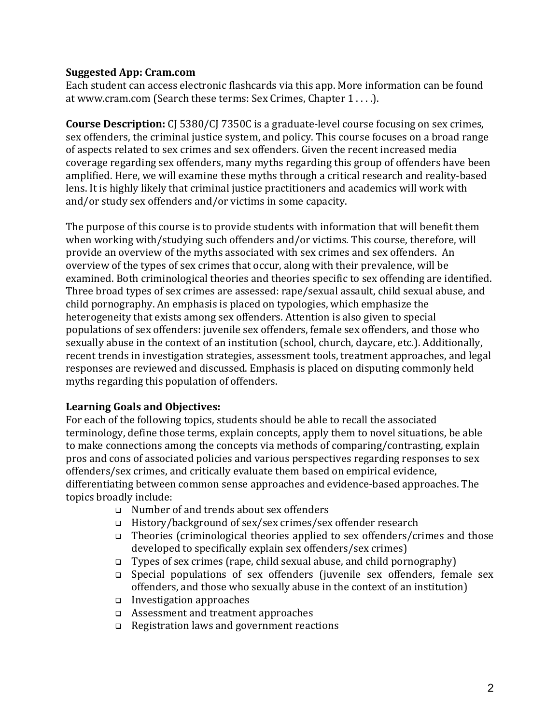### **Suggested App: Cram.com**

Each student can access electronic flashcards via this app. More information can be found at www.cram.com (Search these terms: Sex Crimes, Chapter 1 . . . .).

**Course Description:** CJ 5380/CJ 7350C is a graduate-level course focusing on sex crimes, sex offenders, the criminal justice system, and policy. This course focuses on a broad range of aspects related to sex crimes and sex offenders. Given the recent increased media coverage regarding sex offenders, many myths regarding this group of offenders have been amplified. Here, we will examine these myths through a critical research and reality-based lens. It is highly likely that criminal justice practitioners and academics will work with and/or study sex offenders and/or victims in some capacity.

The purpose of this course is to provide students with information that will benefit them when working with/studying such offenders and/or victims. This course, therefore, will provide an overview of the myths associated with sex crimes and sex offenders. An overview of the types of sex crimes that occur, along with their prevalence, will be examined. Both criminological theories and theories specific to sex offending are identified. Three broad types of sex crimes are assessed: rape/sexual assault, child sexual abuse, and child pornography. An emphasis is placed on typologies, which emphasize the heterogeneity that exists among sex offenders. Attention is also given to special populations of sex offenders: juvenile sex offenders, female sex offenders, and those who sexually abuse in the context of an institution (school, church, daycare, etc.). Additionally, recent trends in investigation strategies, assessment tools, treatment approaches, and legal responses are reviewed and discussed. Emphasis is placed on disputing commonly held myths regarding this population of offenders.

# **Learning Goals and Objectives:**

For each of the following topics, students should be able to recall the associated terminology, define those terms, explain concepts, apply them to novel situations, be able to make connections among the concepts via methods of comparing/contrasting, explain pros and cons of associated policies and various perspectives regarding responses to sex offenders/sex crimes, and critically evaluate them based on empirical evidence, differentiating between common sense approaches and evidence-based approaches. The topics broadly include:

- Number of and trends about sex offenders
- History/background of sex/sex crimes/sex offender research
- $\Box$  Theories (criminological theories applied to sex offenders/crimes and those developed to specifically explain sex offenders/sex crimes)
- $\Box$  Types of sex crimes (rape, child sexual abuse, and child pornography)
- Special populations of sex offenders (juvenile sex offenders, female sex offenders, and those who sexually abuse in the context of an institution)
- Investigation approaches
- Assessment and treatment approaches
- Registration laws and government reactions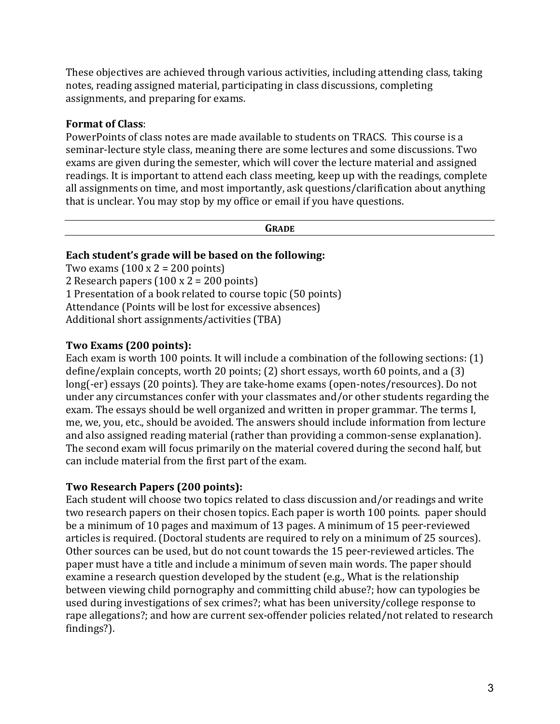These objectives are achieved through various activities, including attending class, taking notes, reading assigned material, participating in class discussions, completing assignments, and preparing for exams.

### **Format of Class**:

PowerPoints of class notes are made available to students on TRACS. This course is a seminar-lecture style class, meaning there are some lectures and some discussions. Two exams are given during the semester, which will cover the lecture material and assigned readings. It is important to attend each class meeting, keep up with the readings, complete all assignments on time, and most importantly, ask questions/clarification about anything that is unclear. You may stop by my office or email if you have questions.

#### **GRADE**

#### **Each student's grade will be based on the following:**

Two exams  $(100 \times 2 = 200 \text{ points})$ 2 Research papers  $(100 \times 2 = 200 \text{ points})$ 1 Presentation of a book related to course topic (50 points) Attendance (Points will be lost for excessive absences) Additional short assignments/activities (TBA)

### **Two Exams (200 points):**

Each exam is worth 100 points. It will include a combination of the following sections: (1) define/explain concepts, worth 20 points; (2) short essays, worth 60 points, and a (3) long(-er) essays (20 points). They are take-home exams (open-notes/resources). Do not under any circumstances confer with your classmates and/or other students regarding the exam. The essays should be well organized and written in proper grammar. The terms I, me, we, you, etc., should be avoided. The answers should include information from lecture and also assigned reading material (rather than providing a common-sense explanation). The second exam will focus primarily on the material covered during the second half, but can include material from the first part of the exam.

#### **Two Research Papers (200 points):**

Each student will choose two topics related to class discussion and/or readings and write two research papers on their chosen topics. Each paper is worth 100 points. paper should be a minimum of 10 pages and maximum of 13 pages. A minimum of 15 peer-reviewed articles is required. (Doctoral students are required to rely on a minimum of 25 sources). Other sources can be used, but do not count towards the 15 peer-reviewed articles. The paper must have a title and include a minimum of seven main words. The paper should examine a research question developed by the student (e.g., What is the relationship between viewing child pornography and committing child abuse?; how can typologies be used during investigations of sex crimes?; what has been university/college response to rape allegations?; and how are current sex-offender policies related/not related to research findings?).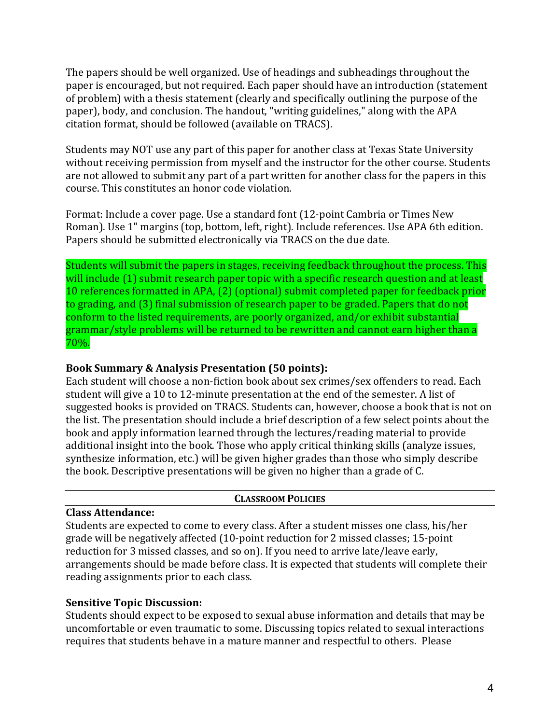The papers should be well organized. Use of headings and subheadings throughout the paper is encouraged, but not required. Each paper should have an introduction (statement of problem) with a thesis statement (clearly and specifically outlining the purpose of the paper), body, and conclusion. The handout, "writing guidelines," along with the APA citation format, should be followed (available on TRACS).

Students may NOT use any part of this paper for another class at Texas State University without receiving permission from myself and the instructor for the other course. Students are not allowed to submit any part of a part written for another class for the papers in this course. This constitutes an honor code violation.

Format: Include a cover page. Use a standard font (12-point Cambria or Times New Roman). Use 1" margins (top, bottom, left, right). Include references. Use APA 6th edition. Papers should be submitted electronically via TRACS on the due date.

Students will submit the papers in stages, receiving feedback throughout the process. This will include (1) submit research paper topic with a specific research question and at least 10 references formatted in APA, (2) (optional) submit completed paper for feedback prior to grading, and (3) final submission of research paper to be graded. Papers that do not conform to the listed requirements, are poorly organized, and/or exhibit substantial grammar/style problems will be returned to be rewritten and cannot earn higher than a 70%.

#### **Book Summary & Analysis Presentation (50 points):**

Each student will choose a non-fiction book about sex crimes/sex offenders to read. Each student will give a 10 to 12-minute presentation at the end of the semester. A list of suggested books is provided on TRACS. Students can, however, choose a book that is not on the list. The presentation should include a brief description of a few select points about the book and apply information learned through the lectures/reading material to provide additional insight into the book. Those who apply critical thinking skills (analyze issues, synthesize information, etc.) will be given higher grades than those who simply describe the book. Descriptive presentations will be given no higher than a grade of C.

#### **CLASSROOM POLICIES**

### **Class Attendance:**

Students are expected to come to every class. After a student misses one class, his/her grade will be negatively affected (10-point reduction for 2 missed classes; 15-point reduction for 3 missed classes, and so on). If you need to arrive late/leave early, arrangements should be made before class. It is expected that students will complete their reading assignments prior to each class.

# **Sensitive Topic Discussion:**

Students should expect to be exposed to sexual abuse information and details that may be uncomfortable or even traumatic to some. Discussing topics related to sexual interactions requires that students behave in a mature manner and respectful to others. Please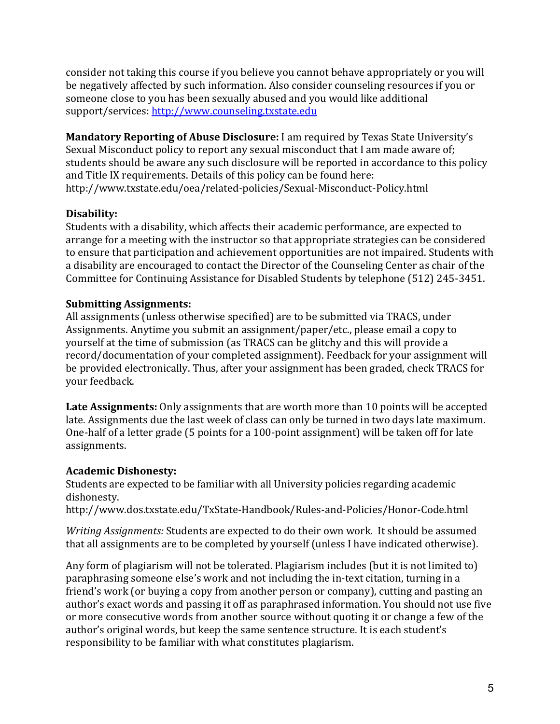consider not taking this course if you believe you cannot behave appropriately or you will be negatively affected by such information. Also consider counseling resources if you or someone close to you has been sexually abused and you would like additional support/services: [http://www.counseling.txstate.edu](http://www.counseling.txstate.edu/)

**Mandatory Reporting of Abuse Disclosure:** I am required by Texas State University's Sexual Misconduct policy to report any sexual misconduct that I am made aware of; students should be aware any such disclosure will be reported in accordance to this policy and Title IX requirements. Details of this policy can be found here: http://www.txstate.edu/oea/related-policies/Sexual-Misconduct-Policy.html

# **Disability:**

Students with a disability, which affects their academic performance, are expected to arrange for a meeting with the instructor so that appropriate strategies can be considered to ensure that participation and achievement opportunities are not impaired. Students with a disability are encouraged to contact the Director of the Counseling Center as chair of the Committee for Continuing Assistance for Disabled Students by telephone (512) 245-3451.

# **Submitting Assignments:**

All assignments (unless otherwise specified) are to be submitted via TRACS, under Assignments. Anytime you submit an assignment/paper/etc., please email a copy to yourself at the time of submission (as TRACS can be glitchy and this will provide a record/documentation of your completed assignment). Feedback for your assignment will be provided electronically. Thus, after your assignment has been graded, check TRACS for your feedback.

Late Assignments: Only assignments that are worth more than 10 points will be accepted late. Assignments due the last week of class can only be turned in two days late maximum. One-half of a letter grade (5 points for a 100-point assignment) will be taken off for late assignments.

# **Academic Dishonesty:**

Students are expected to be familiar with all University policies regarding academic dishonesty.

http://www.dos.txstate.edu/TxState-Handbook/Rules-and-Policies/Honor-Code.html

*Writing Assignments:* Students are expected to do their own work. It should be assumed that all assignments are to be completed by yourself (unless I have indicated otherwise).

Any form of plagiarism will not be tolerated. Plagiarism includes (but it is not limited to) paraphrasing someone else's work and not including the in-text citation, turning in a friend's work (or buying a copy from another person or company), cutting and pasting an author's exact words and passing it off as paraphrased information. You should not use five or more consecutive words from another source without quoting it or change a few of the author's original words, but keep the same sentence structure. It is each student's responsibility to be familiar with what constitutes plagiarism.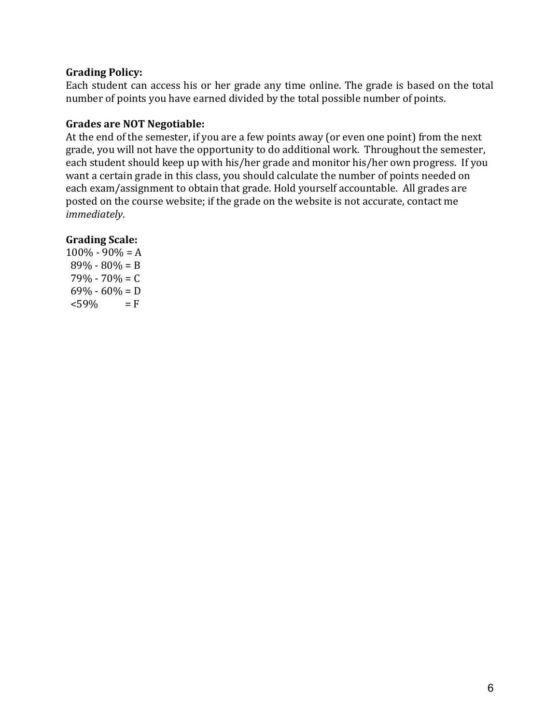### **Grading Policy:**

Each student can access his or her grade any time online. The grade is based on the total number of points you have earned divided by the total possible number of points.

### **Grades are NOT Negotiable:**

At the end of the semester, if you are a few points away (or even one point) from the next grade, you will not have the opportunity to do additional work. Throughout the semester, each student should keep up with his/her grade and monitor his/her own progress. If you want a certain grade in this class, you should calculate the number of points needed on each exam/assignment to obtain that grade. Hold yourself accountable. All grades are posted on the course website; if the grade on the website is not accurate, contact me *immediately*.

### **Grading Scale:**

 $100\% - 90\% = A$  $89\% - 80\% = B$  $79\% - 70\% = C$  $69\% - 60\% = D$ <br><59% = F  $<$ 59%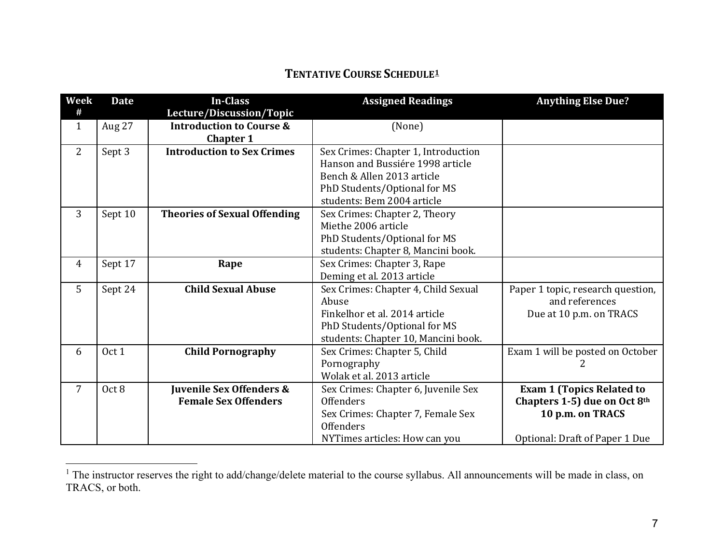# <span id="page-6-0"></span>**TENTATIVE COURSE SCHEDULE[1](#page-6-0)**

| Week<br>#      | <b>Date</b>      | <b>In-Class</b><br>Lecture/Discussion/Topic | <b>Assigned Readings</b>            | <b>Anything Else Due?</b>         |
|----------------|------------------|---------------------------------------------|-------------------------------------|-----------------------------------|
| $\mathbf{1}$   | Aug 27           | <b>Introduction to Course &amp;</b>         | (None)                              |                                   |
|                |                  | <b>Chapter 1</b>                            |                                     |                                   |
| 2              | Sept 3           | <b>Introduction to Sex Crimes</b>           | Sex Crimes: Chapter 1, Introduction |                                   |
|                |                  |                                             | Hanson and Bussiére 1998 article    |                                   |
|                |                  |                                             | Bench & Allen 2013 article          |                                   |
|                |                  |                                             | PhD Students/Optional for MS        |                                   |
|                |                  |                                             | students: Bem 2004 article          |                                   |
| 3              | Sept 10          | <b>Theories of Sexual Offending</b>         | Sex Crimes: Chapter 2, Theory       |                                   |
|                |                  |                                             | Miethe 2006 article                 |                                   |
|                |                  |                                             | PhD Students/Optional for MS        |                                   |
|                |                  |                                             | students: Chapter 8, Mancini book.  |                                   |
| $\overline{4}$ | Sept 17          | Rape                                        | Sex Crimes: Chapter 3, Rape         |                                   |
|                |                  |                                             | Deming et al. 2013 article          |                                   |
| 5              | Sept 24          | <b>Child Sexual Abuse</b>                   | Sex Crimes: Chapter 4, Child Sexual | Paper 1 topic, research question, |
|                |                  |                                             | Abuse                               | and references                    |
|                |                  |                                             | Finkelhor et al. 2014 article       | Due at 10 p.m. on TRACS           |
|                |                  |                                             | PhD Students/Optional for MS        |                                   |
|                |                  |                                             | students: Chapter 10, Mancini book. |                                   |
| 6              | Oct 1            | <b>Child Pornography</b>                    | Sex Crimes: Chapter 5, Child        | Exam 1 will be posted on October  |
|                |                  |                                             | Pornography                         | 2                                 |
|                |                  |                                             | Wolak et al. 2013 article           |                                   |
| $\overline{7}$ | Oct <sub>8</sub> | Juvenile Sex Offenders &                    | Sex Crimes: Chapter 6, Juvenile Sex | <b>Exam 1 (Topics Related to</b>  |
|                |                  | <b>Female Sex Offenders</b>                 | <b>Offenders</b>                    | Chapters 1-5) due on Oct 8th      |
|                |                  |                                             | Sex Crimes: Chapter 7, Female Sex   | 10 p.m. on TRACS                  |
|                |                  |                                             | <b>Offenders</b>                    |                                   |
|                |                  |                                             | NYTimes articles: How can you       | Optional: Draft of Paper 1 Due    |

<sup>&</sup>lt;sup>1</sup> The instructor reserves the right to add/change/delete material to the course syllabus. All announcements will be made in class, on TRACS, or both.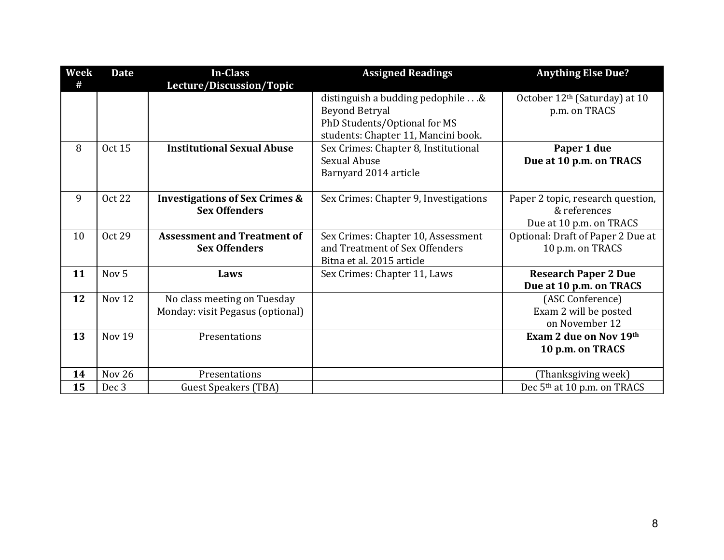| Week | <b>Date</b>       | <b>In-Class</b>                                                   | <b>Assigned Readings</b>                                                                                                         | <b>Anything Else Due?</b>                                                    |
|------|-------------------|-------------------------------------------------------------------|----------------------------------------------------------------------------------------------------------------------------------|------------------------------------------------------------------------------|
| #    |                   | Lecture/Discussion/Topic                                          |                                                                                                                                  |                                                                              |
|      |                   |                                                                   | distinguish a budding pedophile&<br><b>Beyond Betryal</b><br>PhD Students/Optional for MS<br>students: Chapter 11, Mancini book. | October 12 <sup>th</sup> (Saturday) at 10<br>p.m. on TRACS                   |
| 8    | <b>Oct 15</b>     | <b>Institutional Sexual Abuse</b>                                 | Sex Crimes: Chapter 8, Institutional<br><b>Sexual Abuse</b><br>Barnyard 2014 article                                             | Paper 1 due<br>Due at 10 p.m. on TRACS                                       |
| 9    | <b>Oct 22</b>     | <b>Investigations of Sex Crimes &amp;</b><br><b>Sex Offenders</b> | Sex Crimes: Chapter 9, Investigations                                                                                            | Paper 2 topic, research question,<br>& references<br>Due at 10 p.m. on TRACS |
| 10   | <b>Oct 29</b>     | <b>Assessment and Treatment of</b><br><b>Sex Offenders</b>        | Sex Crimes: Chapter 10, Assessment<br>and Treatment of Sex Offenders<br>Bitna et al. 2015 article                                | Optional: Draft of Paper 2 Due at<br>10 p.m. on TRACS                        |
| 11   | Nov <sub>5</sub>  | Laws                                                              | Sex Crimes: Chapter 11, Laws                                                                                                     | <b>Research Paper 2 Due</b><br>Due at 10 p.m. on TRACS                       |
| 12   | Nov <sub>12</sub> | No class meeting on Tuesday<br>Monday: visit Pegasus (optional)   |                                                                                                                                  | (ASC Conference)<br>Exam 2 will be posted<br>on November 12                  |
| 13   | Nov <sub>19</sub> | Presentations                                                     |                                                                                                                                  | Exam 2 due on Nov 19th<br>10 p.m. on TRACS                                   |
| 14   | Nov 26            | Presentations                                                     |                                                                                                                                  | (Thanksgiving week)                                                          |
| 15   | Dec <sub>3</sub>  | <b>Guest Speakers (TBA)</b>                                       |                                                                                                                                  | Dec 5 <sup>th</sup> at 10 p.m. on TRACS                                      |